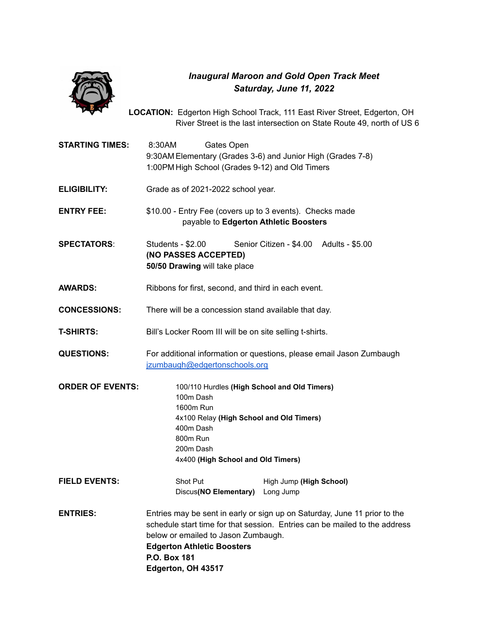

## *Inaugural Maroon and Gold Open Track Meet Saturday, June 11, 2022*

**LOCATION:** Edgerton High School Track, 111 East River Street, Edgerton, OH River Street is the last intersection on State Route 49, north of US 6

**STARTING TIMES:** 8:30AM Gates Open 9:30AM Elementary (Grades 3-6) and Junior High (Grades 7-8) 1:00PM High School (Grades 9-12) and Old Timers **ELIGIBILITY:** Grade as of 2021-2022 school year. **ENTRY FEE:** \$10.00 - Entry Fee (covers up to 3 events). Checks made payable to **Edgerton Athletic Boosters SPECTATORS**: Students - \$2.00 Senior Citizen - \$4.00 Adults - \$5.00 **(NO PASSES ACCEPTED) 50/50 Drawing** will take place **AWARDS:** Ribbons for first, second, and third in each event. **CONCESSIONS:** There will be a concession stand available that day. **T-SHIRTS:** Bill's Locker Room III will be on site selling t-shirts. **QUESTIONS:** For additional information or questions, please email Jason Zumbaugh [jzumbaugh@edgertonschools.org](mailto:jzumbaugh@edgertonschools.org) **ORDER OF EVENTS:** 100/110 Hurdles **(High School and Old Timers)** 100m Dash 1600m Run 4x100 Relay **(High School and Old Timers)** 400m Dash 800m Run 200m Dash 4x400 **(High School and Old Timers) FIELD EVENTS:** Shot Put High Jump (High School) Discus**(NO Elementary)** Long Jump **ENTRIES:** Entries may be sent in early or sign up on Saturday, June 11 prior to the schedule start time for that session. Entries can be mailed to the address below or emailed to Jason Zumbaugh. **Edgerton Athletic Boosters P.O. Box 181 Edgerton, OH 43517**